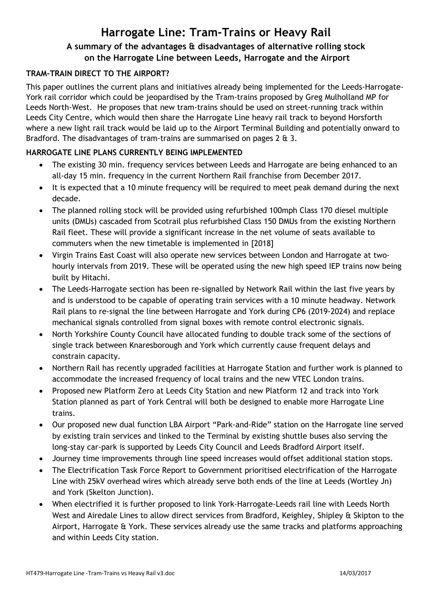# **Harrogate Line: Tram-Trains or Heavy Rail A summary of the advantages & disadvantages of alternative rolling stock on the Harrogate Line between Leeds, Harrogate and the Airport**

#### **TRAM-TRAIN DIRECT TO THE AIRPORT?**

This paper outlines the current plans and initiatives already being implemented for the Leeds-Harrogate-York rail corridor which could be jeopardised by the Tram-trains proposed by Greg Mulholland MP for Leeds North-West. He proposes that new tram-trains should be used on street-running track within Leeds City Centre, which would then share the Harrogate Line heavy rail track to beyond Horsforth where a new light rail track would be laid up to the Airport Terminal Building and potentially onward to Bradford. The disadvantages of tram-trains are summarised on pages 2 & 3.

#### **HARROGATE LINE PLANS CURRENTLY BEING IMPLEMENTED**

- The existing 30 min. frequency services between Leeds and Harrogate are being enhanced to an all-day 15 min. frequency in the current Northern Rail franchise from December 2017.
- It is expected that a 10 minute frequency will be required to meet peak demand during the next decade.
- The planned rolling stock will be provided using refurbished 100mph Class 170 diesel multiple units (DMUs) cascaded from Scotrail plus refurbished Class 150 DMUs from the existing Northern Rail fleet. These will provide a significant increase in the net volume of seats available to commuters when the new timetable is implemented in [2018]
- Virgin Trains East Coast will also operate new services between London and Harrogate at twohourly intervals from 2019. These will be operated using the new high speed IEP trains now being built by Hitachi.
- The Leeds-Harrogate section has been re-signalled by Network Rail within the last five years by and is understood to be capable of operating train services with a 10 minute headway. Network Rail plans to re-signal the line between Harrogate and York during CP6 (2019-2024) and replace mechanical signals controlled from signal boxes with remote control electronic signals.
- North Yorkshire County Council have allocated funding to double track some of the sections of single track between Knaresborough and York which currently cause frequent delays and constrain capacity.
- Northern Rail has recently upgraded facilities at Harrogate Station and further work is planned to accommodate the increased frequency of local trains and the new VTEC London trains.
- Proposed new Platform Zero at Leeds City Station and new Platform 12 and track into York Station planned as part of York Central will both be designed to enable more Harrogate Line trains.
- Our proposed new dual function LBA Airport "Park-and-Ride" station on the Harrogate line served by existing train services and linked to the Terminal by existing shuttle buses also serving the long-stay car-park is supported by Leeds City Council and Leeds Bradford Airport itself.
- Journey time improvements through line speed increases would offset additional station stops.
- The Electrification Task Force Report to Government prioritised electrification of the Harrogate Line with 25kV overhead wires which already serve both ends of the line at Leeds (Wortley Jn) and York (Skelton Junction).
- When electrified it is further proposed to link York-Harrogate-Leeds rail line with Leeds North West and Airedale Lines to allow direct services from Bradford, Keighley, Shipley & Skipton to the Airport, Harrogate & York. These services already use the same tracks and platforms approaching and within Leeds City station.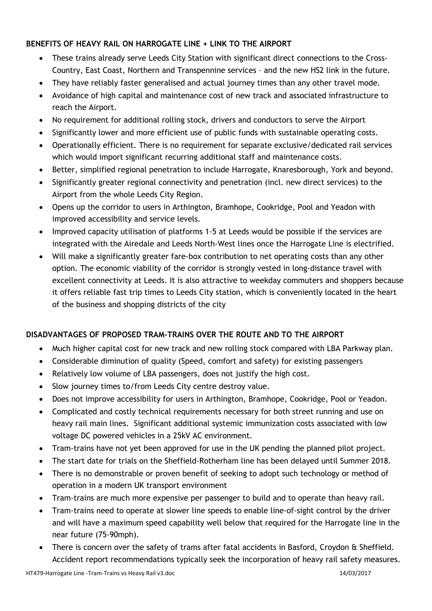### **BENEFITS OF HEAVY RAIL ON HARROGATE LINE + LINK TO THE AIRPORT**

- These trains already serve Leeds City Station with significant direct connections to the Cross-Country, East Coast, Northern and Transpennine services – and the new HS2 link in the future.
- They have reliably faster generalised and actual journey times than any other travel mode.
- Avoidance of high capital and maintenance cost of new track and associated infrastructure to reach the Airport.
- No requirement for additional rolling stock, drivers and conductors to serve the Airport
- Significantly lower and more efficient use of public funds with sustainable operating costs.
- Operationally efficient. There is no requirement for separate exclusive/dedicated rail services which would import significant recurring additional staff and maintenance costs.
- Better, simplified regional penetration to include Harrogate, Knaresborough, York and beyond.
- Significantly greater regional connectivity and penetration (incl. new direct services) to the Airport from the whole Leeds City Region.
- Opens up the corridor to users in Arthington, Bramhope, Cookridge, Pool and Yeadon with improved accessibility and service levels.
- Improved capacity utilisation of platforms 1-5 at Leeds would be possible if the services are integrated with the Airedale and Leeds North-West lines once the Harrogate Line is electrified.
- Will make a significantly greater fare-box contribution to net operating costs than any other option. The economic viability of the corridor is strongly vested in long-distance travel with excellent connectivity at Leeds. It is also attractive to weekday commuters and shoppers because it offers reliable fast trip times to Leeds City station, which is conveniently located in the heart of the business and shopping districts of the city

# **DISADVANTAGES OF PROPOSED TRAM-TRAINS OVER THE ROUTE AND TO THE AIRPORT**

- Much higher capital cost for new track and new rolling stock compared with LBA Parkway plan.
- Considerable diminution of quality (Speed, comfort and safety) for existing passengers
- Relatively low volume of LBA passengers, does not justify the high cost.
- Slow journey times to/from Leeds City centre destroy value.
- Does not improve accessibility for users in Arthington, Bramhope, Cookridge, Pool or Yeadon.
- Complicated and costly technical requirements necessary for both street running and use on heavy rail main lines. Significant additional systemic immunization costs associated with low voltage DC powered vehicles in a 25kV AC environment.
- Tram-trains have not yet been approved for use in the UK pending the planned pilot project.
- The start date for trials on the Sheffield-Rotherham line has been delayed until Summer 2018.
- There is no demonstrable or proven benefit of seeking to adopt such technology or method of operation in a modern UK transport environment
- Tram-trains are much more expensive per passenger to build and to operate than heavy rail.
- Tram-trains need to operate at slower line speeds to enable line-of-sight control by the driver and will have a maximum speed capability well below that required for the Harrogate line in the near future (75-90mph).
- There is concern over the safety of trams after fatal accidents in Basford, Croydon & Sheffield. Accident report recommendations typically seek the incorporation of heavy rail safety measures.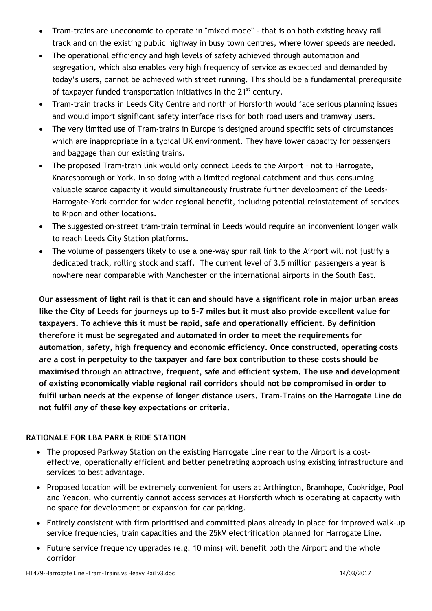- Tram-trains are uneconomic to operate in "mixed mode" that is on both existing heavy rail track and on the existing public highway in busy town centres, where lower speeds are needed.
- The operational efficiency and high levels of safety achieved through automation and segregation, which also enables very high frequency of service as expected and demanded by today's users, cannot be achieved with street running. This should be a fundamental prerequisite of taxpayer funded transportation initiatives in the 21<sup>st</sup> century.
- Tram-train tracks in Leeds City Centre and north of Horsforth would face serious planning issues and would import significant safety interface risks for both road users and tramway users.
- The very limited use of Tram-trains in Europe is designed around specific sets of circumstances which are inappropriate in a typical UK environment. They have lower capacity for passengers and baggage than our existing trains.
- The proposed Tram-train link would only connect Leeds to the Airport not to Harrogate, Knaresborough or York. In so doing with a limited regional catchment and thus consuming valuable scarce capacity it would simultaneously frustrate further development of the Leeds-Harrogate-York corridor for wider regional benefit, including potential reinstatement of services to Ripon and other locations.
- The suggested on-street tram-train terminal in Leeds would require an inconvenient longer walk to reach Leeds City Station platforms.
- The volume of passengers likely to use a one-way spur rail link to the Airport will not justify a dedicated track, rolling stock and staff. The current level of 3.5 million passengers a year is nowhere near comparable with Manchester or the international airports in the South East.

**Our assessment of light rail is that it can and should have a significant role in major urban areas like the City of Leeds for journeys up to 5-7 miles but it must also provide excellent value for taxpayers. To achieve this it must be rapid, safe and operationally efficient. By definition therefore it must be segregated and automated in order to meet the requirements for automation, safety, high frequency and economic efficiency. Once constructed, operating costs are a cost in perpetuity to the taxpayer and fare box contribution to these costs should be maximised through an attractive, frequent, safe and efficient system. The use and development of existing economically viable regional rail corridors should not be compromised in order to fulfil urban needs at the expense of longer distance users. Tram-Trains on the Harrogate Line do not fulfil** *any* **of these key expectations or criteria.** 

# **RATIONALE FOR LBA PARK & RIDE STATION**

- The proposed Parkway Station on the existing Harrogate Line near to the Airport is a costeffective, operationally efficient and better penetrating approach using existing infrastructure and services to best advantage.
- Proposed location will be extremely convenient for users at Arthington, Bramhope, Cookridge, Pool and Yeadon, who currently cannot access services at Horsforth which is operating at capacity with no space for development or expansion for car parking.
- Entirely consistent with firm prioritised and committed plans already in place for improved walk-up service frequencies, train capacities and the 25kV electrification planned for Harrogate Line.
- Future service frequency upgrades (e.g. 10 mins) will benefit both the Airport and the whole corridor